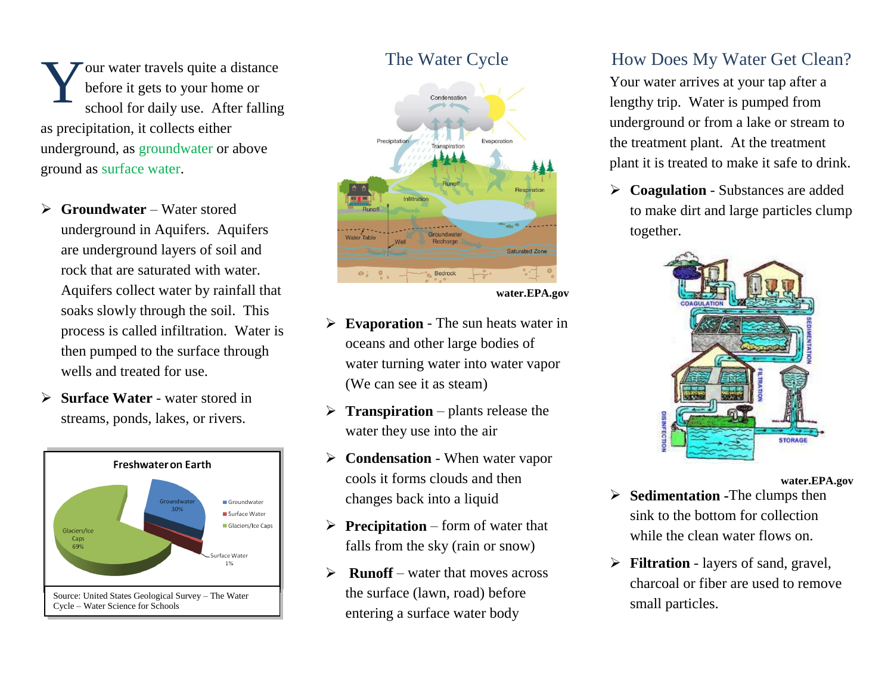our water travels quite a distance before it gets to your home or school for daily use. After falling as precipitation, it collects either underground, as groundwater or above ground as surface water. Y

- **Groundwater** Water stored underground in Aquifers. Aquifers are underground layers of soil and rock that are saturated with water. Aquifers collect water by rainfall that soaks slowly through the soil. This process is called infiltration. Water is then pumped to the surface through wells and treated for use.
- **Surface Water** water stored in streams, ponds, lakes, or rivers.







**water.EPA.gov**

- **Evaporation** The sun heats water in oceans and other large bodies of water turning water into water vapor (We can see it as steam)
- **Transpiration** plants release the water they use into the air
- **►** Condensation When water vapor cools it forms clouds and then changes back into a liquid
- **Precipitation** form of water that falls from the sky (rain or snow)
- $\triangleright$  **Runoff** water that moves across the surface (lawn, road) before entering a surface water body

## How Does My Water Get Clean?

Your water arrives at your tap after a lengthy trip. Water is pumped from underground or from a lake or stream to the treatment plant. At the treatment plant it is treated to make it safe to drink.

 **Coagulation** - Substances are added to make dirt and large particles clump together.



**water.EPA.gov**

- **Sedimentation -**The clumps then sink to the bottom for collection while the clean water flows on.
- **Filtration** layers of sand, gravel, charcoal or fiber are used to remove small particles.